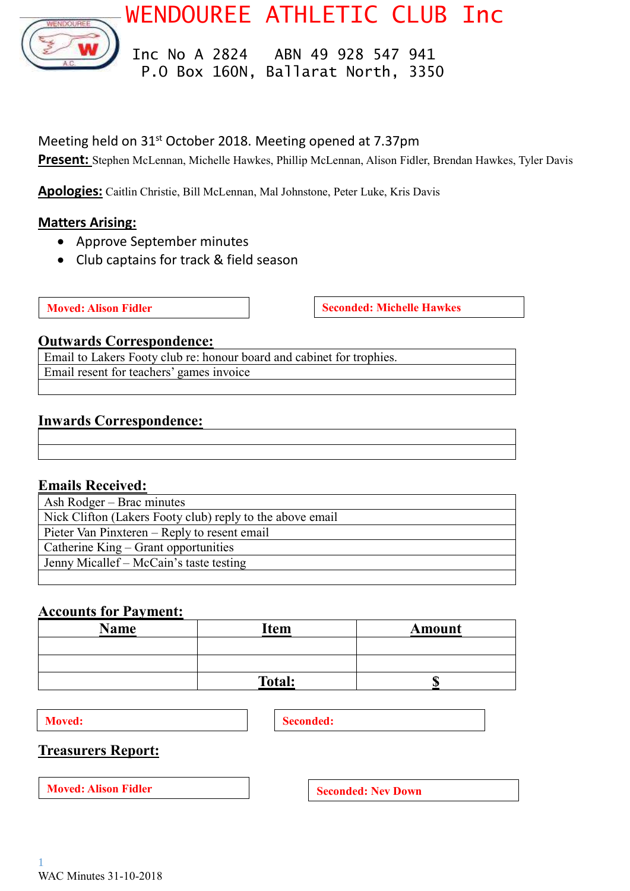

WENDOUREE ATHLETIC CLUB Inc

 Inc No A 2824 ABN 49 928 547 941 P.O Box 160N, Ballarat North, 3350

## Meeting held on 31<sup>st</sup> October 2018. Meeting opened at 7.37pm

**Present:** Stephen McLennan, Michelle Hawkes, Phillip McLennan, Alison Fidler, Brendan Hawkes, Tyler Davis

**Apologies:** Caitlin Christie, Bill McLennan, Mal Johnstone, Peter Luke, Kris Davis

## **Matters Arising:**

- Approve September minutes
- Club captains for track & field season

**Moved:** Alison Fidler **Seconded:** Michelle Hawkes

## **Outwards Correspondence:**

Email to Lakers Footy club re: honour board and cabinet for trophies. Email resent for teachers' games invoice

## **Inwards Correspondence:**

## **Emails Received:**

| Ash Rodger – Brac minutes                                 |  |  |
|-----------------------------------------------------------|--|--|
| Nick Clifton (Lakers Footy club) reply to the above email |  |  |
| Pieter Van Pinxteren – Reply to resent email              |  |  |
| Catherine King – Grant opportunities                      |  |  |
| Jenny Micallef – McCain's taste testing                   |  |  |
|                                                           |  |  |

# **Accounts for Payment:**

| <b>Name</b> | Item          | Amount |
|-------------|---------------|--------|
|             |               |        |
|             |               |        |
|             | <b>Total:</b> |        |

**Moved: Seconded: Seconded:** 

## **Treasurers Report:**

**Moved:** Alison Fidler **Seconded:** Nev Down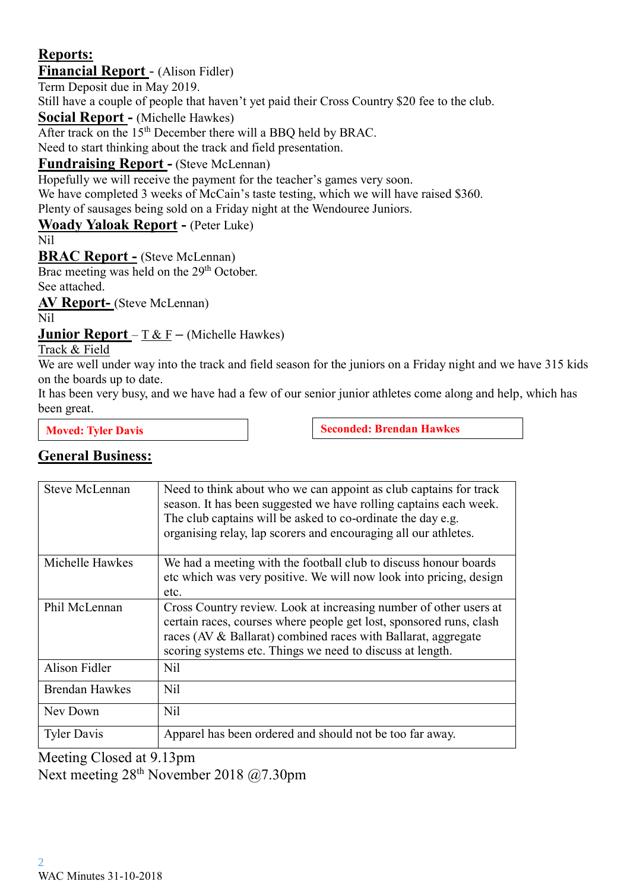# **Reports:**

# **Financial Report** - (Alison Fidler)

Term Deposit due in May 2019.

Still have a couple of people that haven't yet paid their Cross Country \$20 fee to the club.

**Social Report -** (Michelle Hawkes)

After track on the  $15<sup>th</sup>$  December there will a BBQ held by BRAC.

Need to start thinking about the track and field presentation.

# **Fundraising Report -** (Steve McLennan)

Hopefully we will receive the payment for the teacher's games very soon.

We have completed 3 weeks of McCain's taste testing, which we will have raised \$360. Plenty of sausages being sold on a Friday night at the Wendouree Juniors.

# **Woady Yaloak Report -** (Peter Luke)

Nil

**BRAC Report -** (Steve McLennan)

Brac meeting was held on the 29<sup>th</sup> October. See attached.

**AV Report-** (Steve McLennan)

Nil

**Junior Report** – T & F **–** (Michelle Hawkes)

Track & Field

We are well under way into the track and field season for the juniors on a Friday night and we have 315 kids on the boards up to date.

It has been very busy, and we have had a few of our senior junior athletes come along and help, which has been great.

**Moved:** Tyler Davis **Seconded:** Brendan Hawkes

# **General Business:**

| <b>Steve McLennan</b> | Need to think about who we can appoint as club captains for track<br>season. It has been suggested we have rolling captains each week.<br>The club captains will be asked to co-ordinate the day e.g.<br>organising relay, lap scorers and encouraging all our athletes. |
|-----------------------|--------------------------------------------------------------------------------------------------------------------------------------------------------------------------------------------------------------------------------------------------------------------------|
| Michelle Hawkes       | We had a meeting with the football club to discuss honour boards<br>etc which was very positive. We will now look into pricing, design<br>etc.                                                                                                                           |
| Phil McLennan         | Cross Country review. Look at increasing number of other users at<br>certain races, courses where people get lost, sponsored runs, clash<br>races (AV & Ballarat) combined races with Ballarat, aggregate<br>scoring systems etc. Things we need to discuss at length.   |
| Alison Fidler         | N <sub>il</sub>                                                                                                                                                                                                                                                          |
| <b>Brendan Hawkes</b> | N <sub>il</sub>                                                                                                                                                                                                                                                          |
| Nev Down              | N <sub>il</sub>                                                                                                                                                                                                                                                          |
| <b>Tyler Davis</b>    | Apparel has been ordered and should not be too far away.                                                                                                                                                                                                                 |

Meeting Closed at 9.13pm Next meeting 28th November 2018 @7.30pm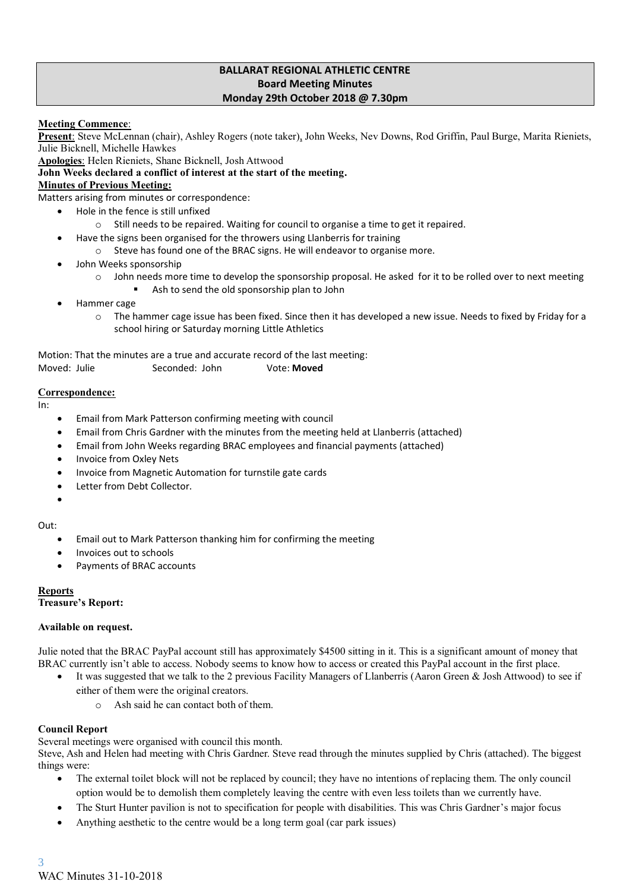#### **BALLARAT REGIONAL ATHLETIC CENTRE Board Meeting Minutes Monday 29th October 2018 @ 7.30pm**

**Meeting Commence**:

**Present**: Steve McLennan (chair), Ashley Rogers (note taker), John Weeks, Nev Downs, Rod Griffin, Paul Burge, Marita Rieniets, Julie Bicknell, Michelle Hawkes

**Apologies**: Helen Rieniets, Shane Bicknell, Josh Attwood **John Weeks declared a conflict of interest at the start of the meeting.**

#### **Minutes of Previous Meeting:**

Matters arising from minutes or correspondence:

- Hole in the fence is still unfixed
	- o Still needs to be repaired. Waiting for council to organise a time to get it repaired.
	- Have the signs been organised for the throwers using Llanberris for training
		- o Steve has found one of the BRAC signs. He will endeavor to organise more.
- John Weeks sponsorship
	- o John needs more time to develop the sponsorship proposal. He asked for it to be rolled over to next meeting
		- Ash to send the old sponsorship plan to John
- Hammer cage
	- $\circ$  The hammer cage issue has been fixed. Since then it has developed a new issue. Needs to fixed by Friday for a school hiring or Saturday morning Little Athletics

Motion: That the minutes are a true and accurate record of the last meeting: Moved: Julie Seconded: John Vote: **Moved**

#### **Correspondence:**

In:

- Email from Mark Patterson confirming meeting with council
- Email from Chris Gardner with the minutes from the meeting held at Llanberris (attached)
- Email from John Weeks regarding BRAC employees and financial payments (attached)
- Invoice from Oxley Nets
- Invoice from Magnetic Automation for turnstile gate cards
- Letter from Debt Collector.
- •

#### Out:

- Email out to Mark Patterson thanking him for confirming the meeting
- Invoices out to schools
- Payments of BRAC accounts

#### **Reports**

#### **Treasure's Report:**

#### **Available on request.**

Julie noted that the BRAC PayPal account still has approximately \$4500 sitting in it. This is a significant amount of money that BRAC currently isn't able to access. Nobody seems to know how to access or created this PayPal account in the first place.

- It was suggested that we talk to the 2 previous Facility Managers of Llanberris (Aaron Green & Josh Attwood) to see if either of them were the original creators.
	- o Ash said he can contact both of them.

#### **Council Report**

Several meetings were organised with council this month.

Steve, Ash and Helen had meeting with Chris Gardner. Steve read through the minutes supplied by Chris (attached). The biggest things were:

- The external toilet block will not be replaced by council; they have no intentions of replacing them. The only council option would be to demolish them completely leaving the centre with even less toilets than we currently have.
- The Sturt Hunter pavilion is not to specification for people with disabilities. This was Chris Gardner's major focus
- Anything aesthetic to the centre would be a long term goal (car park issues)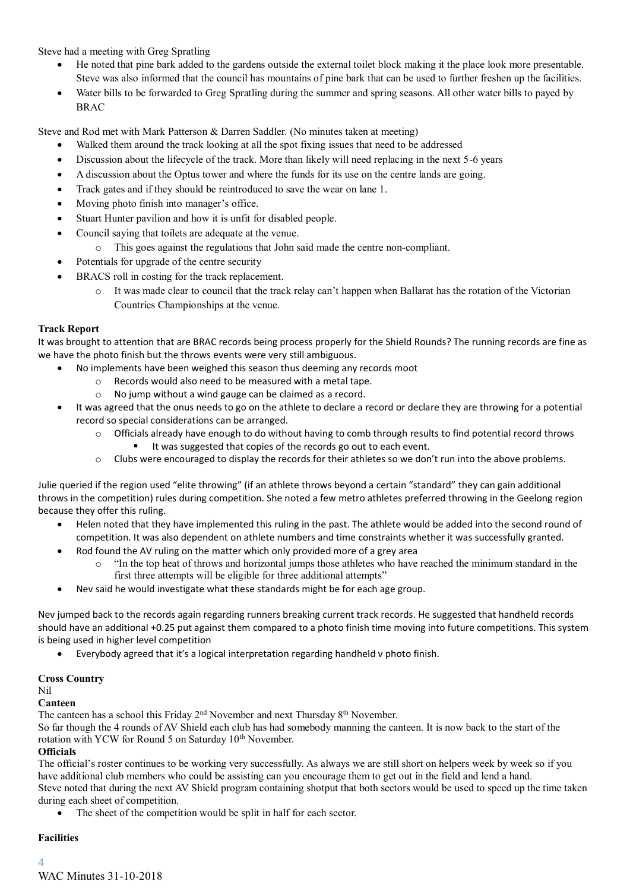Steve had a meeting with Greg Spratling

- He noted that pine bark added to the gardens outside the external toilet block making it the place look more presentable. Steve was also informed that the council has mountains of pine bark that can be used to further freshen up the facilities.
- Water bills to be forwarded to Greg Spratling during the summer and spring seasons. All other water bills to payed by BRAC

Steve and Rod met with Mark Patterson & Darren Saddler. (No minutes taken at meeting)

- Walked them around the track looking at all the spot fixing issues that need to be addressed
- Discussion about the lifecycle of the track. More than likely will need replacing in the next 5-6 years
- A discussion about the Optus tower and where the funds for its use on the centre lands are going.
- Track gates and if they should be reintroduced to save the wear on lane 1.
- Moving photo finish into manager's office.
- Stuart Hunter pavilion and how it is unfit for disabled people.
- Council saying that toilets are adequate at the venue.
	- o This goes against the regulations that John said made the centre non-compliant.
- Potentials for upgrade of the centre security
- BRACS roll in costing for the track replacement.
	- o It was made clear to council that the track relay can't happen when Ballarat has the rotation of the Victorian Countries Championships at the venue.

#### **Track Report**

It was brought to attention that are BRAC records being process properly for the Shield Rounds? The running records are fine as we have the photo finish but the throws events were very still ambiguous.

- No implements have been weighed this season thus deeming any records moot
	- o Records would also need to be measured with a metal tape.
	- o No jump without a wind gauge can be claimed as a record.
- It was agreed that the onus needs to go on the athlete to declare a record or declare they are throwing for a potential record so special considerations can be arranged.
	- o Officials already have enough to do without having to comb through results to find potential record throws It was suggested that copies of the records go out to each event.
	- o Clubs were encouraged to display the records for their athletes so we don't run into the above problems.

Julie queried if the region used "elite throwing" (if an athlete throws beyond a certain "standard" they can gain additional throws in the competition) rules during competition. She noted a few metro athletes preferred throwing in the Geelong region because they offer this ruling.

- Helen noted that they have implemented this ruling in the past. The athlete would be added into the second round of competition. It was also dependent on athlete numbers and time constraints whether it was successfully granted.
- Rod found the AV ruling on the matter which only provided more of a grey area
	- "In the top heat of throws and horizontal jumps those athletes who have reached the minimum standard in the first three attempts will be eligible for three additional attempts"
- Nev said he would investigate what these standards might be for each age group.

Nev jumped back to the records again regarding runners breaking current track records. He suggested that handheld records should have an additional +0.25 put against them compared to a photo finish time moving into future competitions. This system is being used in higher level competition

• Everybody agreed that it's a logical interpretation regarding handheld v photo finish.

#### **Cross Country**

Nil

#### **Canteen**

The canteen has a school this Friday 2<sup>nd</sup> November and next Thursday 8<sup>th</sup> November.

So far though the 4 rounds of AV Shield each club has had somebody manning the canteen. It is now back to the start of the rotation with YCW for Round 5 on Saturday  $10<sup>th</sup>$  November.

#### **Officials**

The official's roster continues to be working very successfully. As always we are still short on helpers week by week so if you have additional club members who could be assisting can you encourage them to get out in the field and lend a hand. Steve noted that during the next AV Shield program containing shotput that both sectors would be used to speed up the time taken during each sheet of competition.

The sheet of the competition would be split in half for each sector.

#### **Facilities**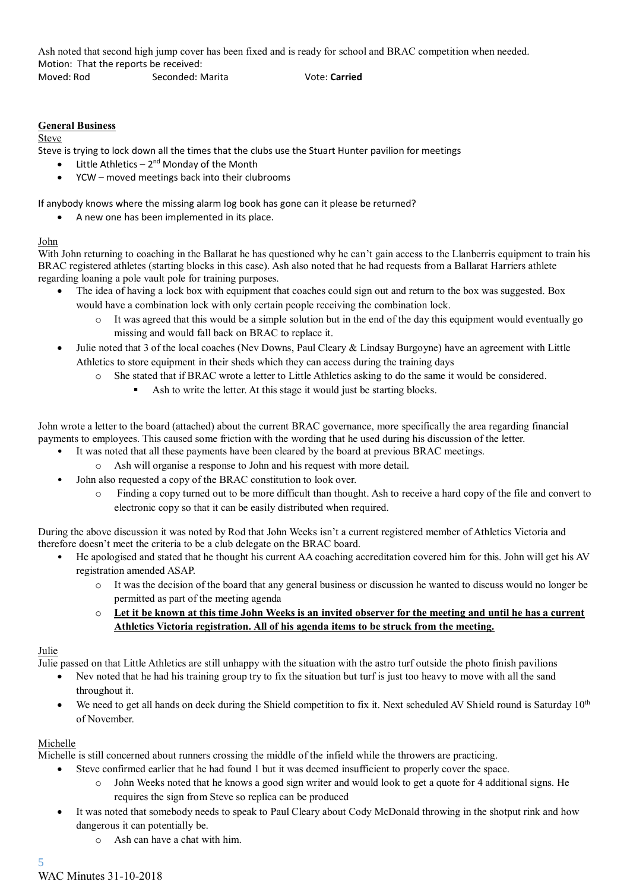Ash noted that second high jump cover has been fixed and is ready for school and BRAC competition when needed. Motion: That the reports be received:

Moved: Rod Seconded: Marita Vote: **Carried**

#### **General Business**

#### Steve

Steve is trying to lock down all the times that the clubs use the Stuart Hunter pavilion for meetings

- $\bullet$  Little Athletics 2<sup>nd</sup> Monday of the Month
- YCW moved meetings back into their clubrooms

If anybody knows where the missing alarm log book has gone can it please be returned?

• A new one has been implemented in its place.

#### John

With John returning to coaching in the Ballarat he has questioned why he can't gain access to the Llanberris equipment to train his BRAC registered athletes (starting blocks in this case). Ash also noted that he had requests from a Ballarat Harriers athlete regarding loaning a pole vault pole for training purposes.

- The idea of having a lock box with equipment that coaches could sign out and return to the box was suggested. Box would have a combination lock with only certain people receiving the combination lock.
	- It was agreed that this would be a simple solution but in the end of the day this equipment would eventually go missing and would fall back on BRAC to replace it.
- Julie noted that 3 of the local coaches (Nev Downs, Paul Cleary & Lindsay Burgoyne) have an agreement with Little Athletics to store equipment in their sheds which they can access during the training days
	- o She stated that if BRAC wrote a letter to Little Athletics asking to do the same it would be considered.
		- Ash to write the letter. At this stage it would just be starting blocks.

John wrote a letter to the board (attached) about the current BRAC governance, more specifically the area regarding financial payments to employees. This caused some friction with the wording that he used during his discussion of the letter.

- It was noted that all these payments have been cleared by the board at previous BRAC meetings.
	- o Ash will organise a response to John and his request with more detail.
- John also requested a copy of the BRAC constitution to look over.
	- o Finding a copy turned out to be more difficult than thought. Ash to receive a hard copy of the file and convert to electronic copy so that it can be easily distributed when required.

During the above discussion it was noted by Rod that John Weeks isn't a current registered member of Athletics Victoria and therefore doesn't meet the criteria to be a club delegate on the BRAC board.

- He apologised and stated that he thought his current AA coaching accreditation covered him for this. John will get his AV registration amended ASAP.
	- o It was the decision of the board that any general business or discussion he wanted to discuss would no longer be permitted as part of the meeting agenda
	- o **Let it be known at this time John Weeks is an invited observer for the meeting and until he has a current Athletics Victoria registration. All of his agenda items to be struck from the meeting.**

#### Julie

Julie passed on that Little Athletics are still unhappy with the situation with the astro turf outside the photo finish pavilions

- Nev noted that he had his training group try to fix the situation but turf is just too heavy to move with all the sand throughout it.
- We need to get all hands on deck during the Shield competition to fix it. Next scheduled AV Shield round is Saturday 10<sup>th</sup> of November.

#### Michelle

Michelle is still concerned about runners crossing the middle of the infield while the throwers are practicing.

- Steve confirmed earlier that he had found 1 but it was deemed insufficient to properly cover the space.
	- John Weeks noted that he knows a good sign writer and would look to get a quote for 4 additional signs. He requires the sign from Steve so replica can be produced
- It was noted that somebody needs to speak to Paul Cleary about Cody McDonald throwing in the shotput rink and how dangerous it can potentially be.
	- o Ash can have a chat with him.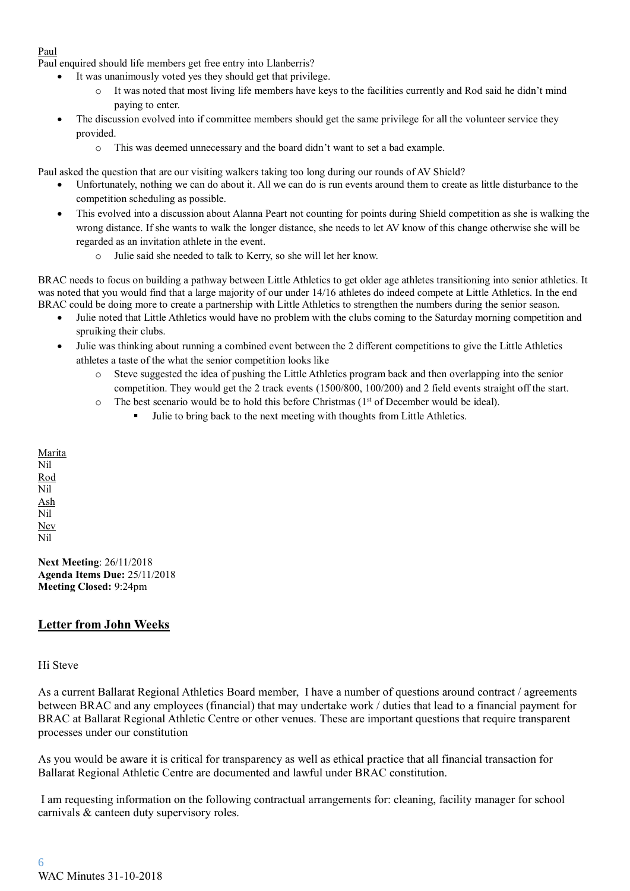### Paul

Paul enquired should life members get free entry into Llanberris?

- It was unanimously voted yes they should get that privilege.
	- It was noted that most living life members have keys to the facilities currently and Rod said he didn't mind paying to enter.
- The discussion evolved into if committee members should get the same privilege for all the volunteer service they provided.
	- o This was deemed unnecessary and the board didn't want to set a bad example.

Paul asked the question that are our visiting walkers taking too long during our rounds of AV Shield?

- Unfortunately, nothing we can do about it. All we can do is run events around them to create as little disturbance to the competition scheduling as possible.
- This evolved into a discussion about Alanna Peart not counting for points during Shield competition as she is walking the wrong distance. If she wants to walk the longer distance, she needs to let AV know of this change otherwise she will be regarded as an invitation athlete in the event.
	- o Julie said she needed to talk to Kerry, so she will let her know.

BRAC needs to focus on building a pathway between Little Athletics to get older age athletes transitioning into senior athletics. It was noted that you would find that a large majority of our under  $14/16$  athletes do indeed compete at Little Athletics. In the end BRAC could be doing more to create a partnership with Little Athletics to strengthen the numbers during the senior season.

- Julie noted that Little Athletics would have no problem with the clubs coming to the Saturday morning competition and spruiking their clubs.
- Julie was thinking about running a combined event between the 2 different competitions to give the Little Athletics athletes a taste of the what the senior competition looks like
	- o Steve suggested the idea of pushing the Little Athletics program back and then overlapping into the senior competition. They would get the 2 track events (1500/800, 100/200) and 2 field events straight off the start.
	- $\circ$  The best scenario would be to hold this before Christmas (1<sup>st</sup> of December would be ideal).
		- Julie to bring back to the next meeting with thoughts from Little Athletics.

**Marita** Nil Rod Nil Ash Nil Nev Nil

**Next Meeting**: 26/11/2018 **Agenda Items Due:** 25/11/2018 **Meeting Closed:** 9:24pm

## **Letter from John Weeks**

#### Hi Steve

As a current Ballarat Regional Athletics Board member, I have a number of questions around contract / agreements between BRAC and any employees (financial) that may undertake work / duties that lead to a financial payment for BRAC at Ballarat Regional Athletic Centre or other venues. These are important questions that require transparent processes under our constitution

As you would be aware it is critical for transparency as well as ethical practice that all financial transaction for Ballarat Regional Athletic Centre are documented and lawful under BRAC constitution.

I am requesting information on the following contractual arrangements for: cleaning, facility manager for school carnivals & canteen duty supervisory roles.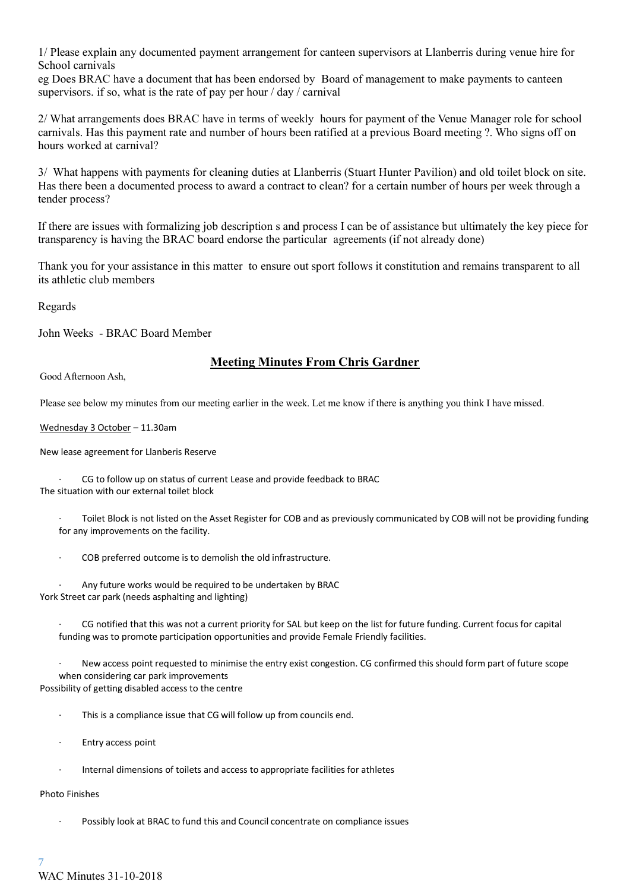1/ Please explain any documented payment arrangement for canteen supervisors at Llanberris during venue hire for School carnivals

eg Does BRAC have a document that has been endorsed by Board of management to make payments to canteen supervisors. if so, what is the rate of pay per hour / day / carnival

2/ What arrangements does BRAC have in terms of weekly hours for payment of the Venue Manager role for school carnivals. Has this payment rate and number of hours been ratified at a previous Board meeting ?. Who signs off on hours worked at carnival?

3/ What happens with payments for cleaning duties at Llanberris (Stuart Hunter Pavilion) and old toilet block on site. Has there been a documented process to award a contract to clean? for a certain number of hours per week through a tender process?

If there are issues with formalizing job description s and process I can be of assistance but ultimately the key piece for transparency is having the BRAC board endorse the particular agreements (if not already done)

Thank you for your assistance in this matter to ensure out sport follows it constitution and remains transparent to all its athletic club members

Regards

John Weeks - BRAC Board Member

## **Meeting Minutes From Chris Gardner**

Good Afternoon Ash,

Please see below my minutes from our meeting earlier in the week. Let me know if there is anything you think I have missed.

Wednesday 3 October – 11.30am

New lease agreement for Llanberis Reserve

CG to follow up on status of current Lease and provide feedback to BRAC The situation with our external toilet block

· Toilet Block is not listed on the Asset Register for COB and as previously communicated by COB will not be providing funding for any improvements on the facility.

COB preferred outcome is to demolish the old infrastructure.

Any future works would be required to be undertaken by BRAC York Street car park (needs asphalting and lighting)

CG notified that this was not a current priority for SAL but keep on the list for future funding. Current focus for capital funding was to promote participation opportunities and provide Female Friendly facilities.

New access point requested to minimise the entry exist congestion. CG confirmed this should form part of future scope when considering car park improvements Possibility of getting disabled access to the centre

- · This is a compliance issue that CG will follow up from councils end.
- · Entry access point
- Internal dimensions of toilets and access to appropriate facilities for athletes

#### Photo Finishes

Possibly look at BRAC to fund this and Council concentrate on compliance issues